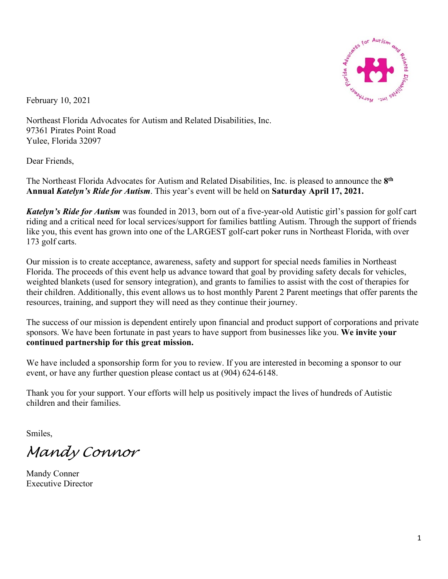

February 10, 2021

Northeast Florida Advocates for Autism and Related Disabilities, Inc. 97361 Pirates Point Road Yulee, Florida 32097

Dear Friends,

The Northeast Florida Advocates for Autism and Related Disabilities, Inc. is pleased to announce the **8th Annual** *Katelyn's Ride for Autism*. This year's event will be held on **Saturday April 17, 2021.** 

*Katelyn's Ride for Autism* was founded in 2013, born out of a five-year-old Autistic girl's passion for golf cart riding and a critical need for local services/support for families battling Autism. Through the support of friends like you, this event has grown into one of the LARGEST golf-cart poker runs in Northeast Florida, with over 173 golf carts.

Our mission is to create acceptance, awareness, safety and support for special needs families in Northeast Florida. The proceeds of this event help us advance toward that goal by providing safety decals for vehicles, weighted blankets (used for sensory integration), and grants to families to assist with the cost of therapies for their children. Additionally, this event allows us to host monthly Parent 2 Parent meetings that offer parents the resources, training, and support they will need as they continue their journey.

The success of our mission is dependent entirely upon financial and product support of corporations and private sponsors. We have been fortunate in past years to have support from businesses like you. **We invite your continued partnership for this great mission.** 

We have included a sponsorship form for you to review. If you are interested in becoming a sponsor to our event, or have any further question please contact us at (904) 624-6148.

Thank you for your support. Your efforts will help us positively impact the lives of hundreds of Autistic children and their families.

Smiles,

*Mandy Connor*

Mandy Conner Executive Director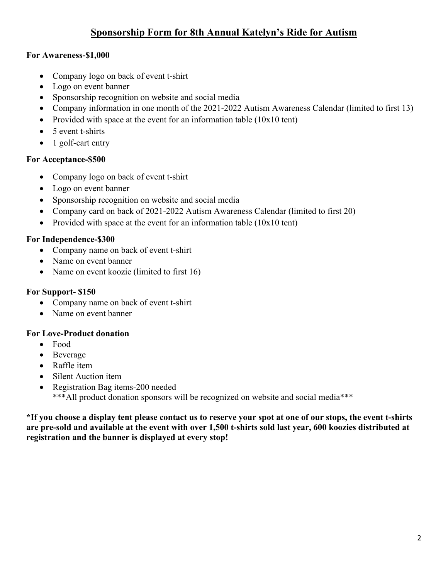# **Sponsorship Form for 8th Annual Katelyn's Ride for Autism**

### **For Awareness-\$1,000**

- Company logo on back of event t-shirt
- Logo on event banner
- Sponsorship recognition on website and social media
- Company information in one month of the 2021-2022 Autism Awareness Calendar (limited to first 13)
- Provided with space at the event for an information table (10x10 tent)
- 5 event t-shirts
- 1 golf-cart entry

### **For Acceptance-\$500**

- Company logo on back of event t-shirt
- Logo on event banner
- Sponsorship recognition on website and social media
- Company card on back of 2021-2022 Autism Awareness Calendar (limited to first 20)
- Provided with space at the event for an information table (10x10 tent)

## **For Independence-\$300**

- Company name on back of event t-shirt
- Name on event banner
- Name on event koozie (limited to first 16)

## **For Support- \$150**

- Company name on back of event t-shirt
- Name on event banner

### **For Love-Product donation**

- Food
- Beverage
- Raffle item
- Silent Auction item
- Registration Bag items-200 needed \*\*\*All product donation sponsors will be recognized on website and social media\*\*\*

**\*If you choose a display tent please contact us to reserve your spot at one of our stops, the event t-shirts are pre-sold and available at the event with over 1,500 t-shirts sold last year, 600 koozies distributed at registration and the banner is displayed at every stop!**